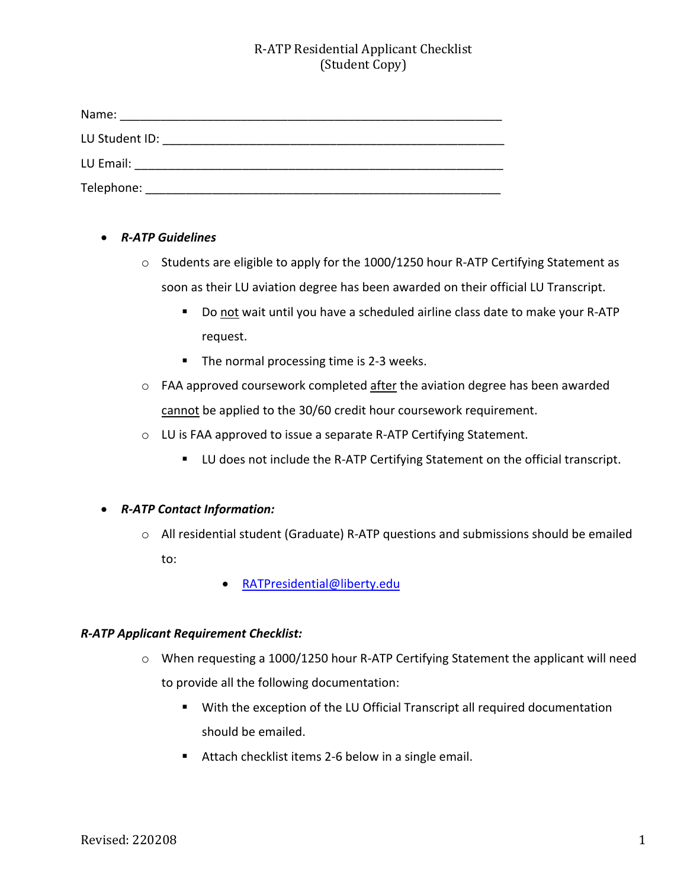# R-ATP Residential Applicant Checklist (Student Copy)

| Name:          |  |
|----------------|--|
| LU Student ID: |  |
| LU Email:      |  |
| Telephone:     |  |

- *R-ATP Guidelines*
	- o Students are eligible to apply for the 1000/1250 hour R-ATP Certifying Statement as soon as their LU aviation degree has been awarded on their official LU Transcript.
		- Do not wait until you have a scheduled airline class date to make your R-ATP request.
		- The normal processing time is 2-3 weeks.
	- $\circ$  FAA approved coursework completed after the aviation degree has been awarded cannot be applied to the 30/60 credit hour coursework requirement.
	- o LU is FAA approved to issue a separate R-ATP Certifying Statement.
		- LU does not include the R-ATP Certifying Statement on the official transcript.

### • *R-ATP Contact Information:*

- o All residential student (Graduate) R-ATP questions and submissions should be emailed to:
	- RATPresidential@liberty.edu

### *R-ATP Applicant Requirement Checklist:*

- o When requesting a 1000/1250 hour R-ATP Certifying Statement the applicant will need to provide all the following documentation:
	- With the exception of the LU Official Transcript all required documentation should be emailed.
	- Attach checklist items 2-6 below in a single email.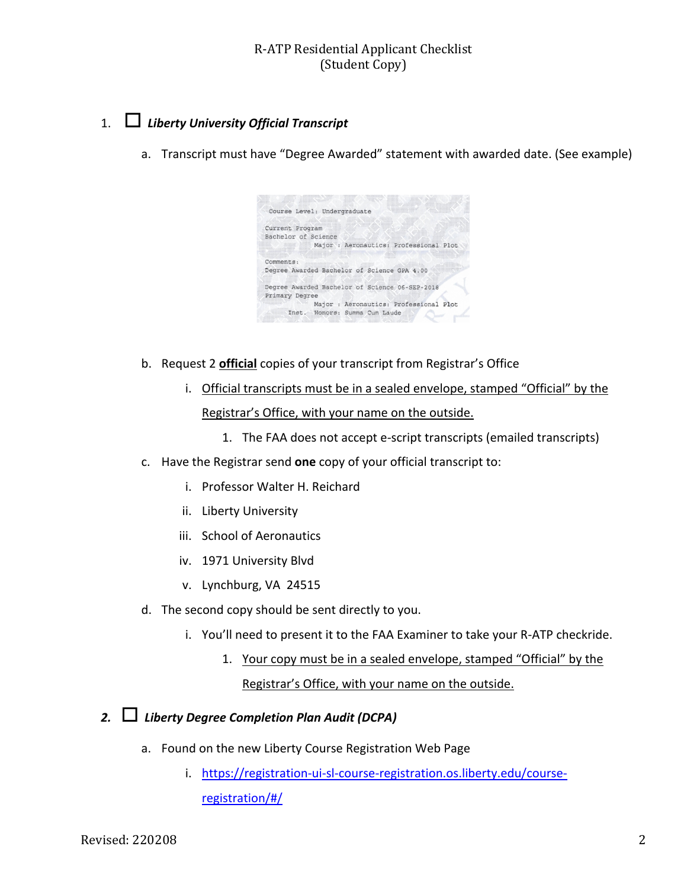## R-ATP Residential Applicant Checklist (Student Copy)

# 1. ☐ *Liberty University Official Transcript*

a. Transcript must have "Degree Awarded" statement with awarded date. (See example)

| Course Level: Undergraduate                    |
|------------------------------------------------|
|                                                |
| Current Program                                |
| Bachelor of Science                            |
| Major : Aeronautics: Professional Plot         |
| Comments:                                      |
| Degree Awarded Bachelor of Science GPA 4.00    |
| Degree Awarded Bachelor of Science 06-SEP-2018 |
| Primary Degree                                 |
| Major : Aeronautics: Professional Plot         |
| Inst. Honors: Summa Cum Laude                  |
|                                                |

- b. Request 2 **official** copies of your transcript from Registrar's Office
	- i. Official transcripts must be in a sealed envelope, stamped "Official" by the Registrar's Office, with your name on the outside.
		- 1. The FAA does not accept e-script transcripts (emailed transcripts)
- c. Have the Registrar send **one** copy of your official transcript to:
	- i. Professor Walter H. Reichard
	- ii. Liberty University
	- iii. School of Aeronautics
	- iv. 1971 University Blvd
	- v. Lynchburg, VA 24515
- d. The second copy should be sent directly to you.
	- i. You'll need to present it to the FAA Examiner to take your R-ATP checkride.
		- 1. Your copy must be in a sealed envelope, stamped "Official" by the Registrar's Office, with your name on the outside.

# *2.* ☐ *Liberty Degree Completion Plan Audit (DCPA)*

- a. Found on the new Liberty Course Registration Web Page
	- i. https://registration-ui-sl-course-registration.os.liberty.edu/courseregistration/#/